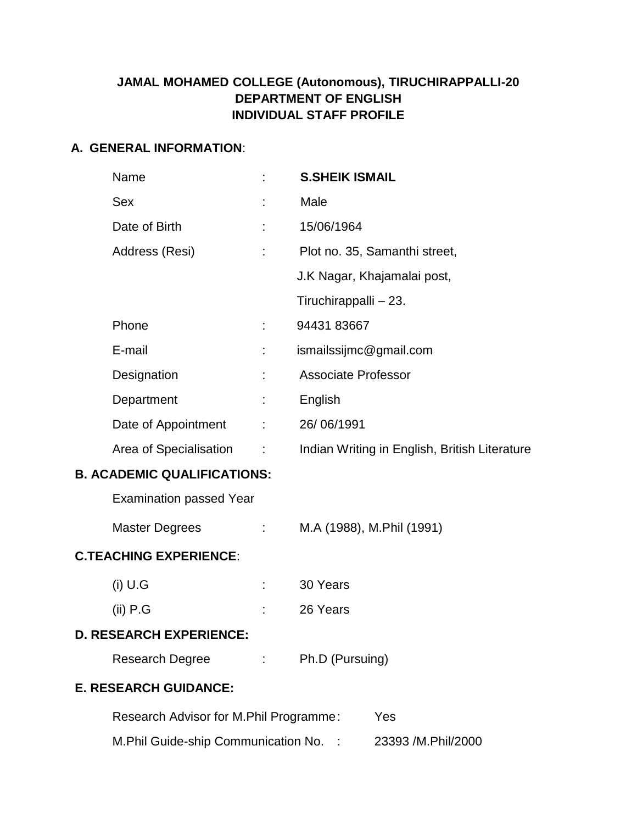# **JAMAL MOHAMED COLLEGE (Autonomous), TIRUCHIRAPPALLI-20 DEPARTMENT OF ENGLISH INDIVIDUAL STAFF PROFILE**

#### **A. GENERAL INFORMATION**:

|                                    | Name                                          |                            | <b>S.SHEIK ISMAIL</b>                         |
|------------------------------------|-----------------------------------------------|----------------------------|-----------------------------------------------|
|                                    | <b>Sex</b>                                    |                            | Male                                          |
|                                    | Date of Birth                                 | ÷                          | 15/06/1964                                    |
|                                    | Address (Resi)                                | ÷                          | Plot no. 35, Samanthi street,                 |
|                                    |                                               |                            | J.K Nagar, Khajamalai post,                   |
|                                    |                                               |                            | Tiruchirappalli - 23.                         |
|                                    | Phone                                         |                            | 94431 83667                                   |
|                                    | E-mail                                        |                            | ismailssijmc@gmail.com                        |
|                                    | Designation                                   |                            | <b>Associate Professor</b>                    |
|                                    | Department                                    |                            | English                                       |
|                                    | Date of Appointment                           | ÷.                         | 26/06/1991                                    |
|                                    | Area of Specialisation :                      |                            | Indian Writing in English, British Literature |
| <b>B. ACADEMIC QUALIFICATIONS:</b> |                                               |                            |                                               |
|                                    | <b>Examination passed Year</b>                |                            |                                               |
|                                    | Master Degrees                                | $\mathcal{L}^{\text{max}}$ | M.A (1988), M.Phil (1991)                     |
| <b>C.TEACHING EXPERIENCE:</b>      |                                               |                            |                                               |
|                                    | $(i)$ U.G                                     |                            | 30 Years                                      |
|                                    | $(ii)$ P.G                                    |                            | 26 Years                                      |
|                                    | <b>D. RESEARCH EXPERIENCE:</b>                |                            |                                               |
|                                    | Research Degree                               |                            | : Ph.D (Pursuing)                             |
| <b>E. RESEARCH GUIDANCE:</b>       |                                               |                            |                                               |
|                                    | Research Advisor for M.Phil Programme:<br>Yes |                            |                                               |

M.Phil Guide-ship Communication No. : 23393 /M.Phil/2000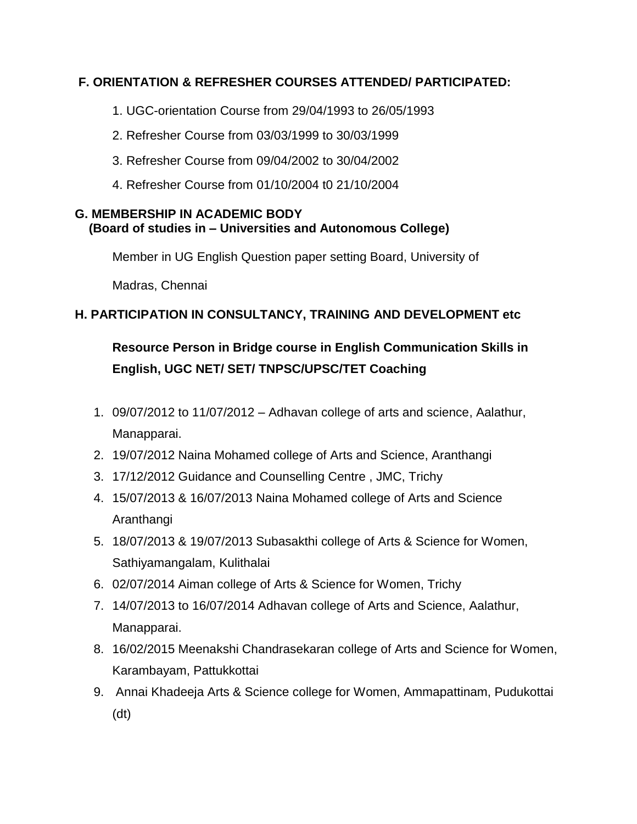## **F. ORIENTATION & REFRESHER COURSES ATTENDED/ PARTICIPATED:**

- 1. UGC-orientation Course from 29/04/1993 to 26/05/1993
- 2. Refresher Course from 03/03/1999 to 30/03/1999
- 3. Refresher Course from 09/04/2002 to 30/04/2002
- 4. Refresher Course from 01/10/2004 t0 21/10/2004

#### **G. MEMBERSHIP IN ACADEMIC BODY (Board of studies in – Universities and Autonomous College)**

Member in UG English Question paper setting Board, University of

Madras, Chennai

# **H. PARTICIPATION IN CONSULTANCY, TRAINING AND DEVELOPMENT etc**

# **Resource Person in Bridge course in English Communication Skills in English, UGC NET/ SET/ TNPSC/UPSC/TET Coaching**

- 1. 09/07/2012 to 11/07/2012 Adhavan college of arts and science, Aalathur, Manapparai.
- 2. 19/07/2012 Naina Mohamed college of Arts and Science, Aranthangi
- 3. 17/12/2012 Guidance and Counselling Centre , JMC, Trichy
- 4. 15/07/2013 & 16/07/2013 Naina Mohamed college of Arts and Science Aranthangi
- 5. 18/07/2013 & 19/07/2013 Subasakthi college of Arts & Science for Women, Sathiyamangalam, Kulithalai
- 6. 02/07/2014 Aiman college of Arts & Science for Women, Trichy
- 7. 14/07/2013 to 16/07/2014 Adhavan college of Arts and Science, Aalathur, Manapparai.
- 8. 16/02/2015 Meenakshi Chandrasekaran college of Arts and Science for Women, Karambayam, Pattukkottai
- 9. Annai Khadeeja Arts & Science college for Women, Ammapattinam, Pudukottai (dt)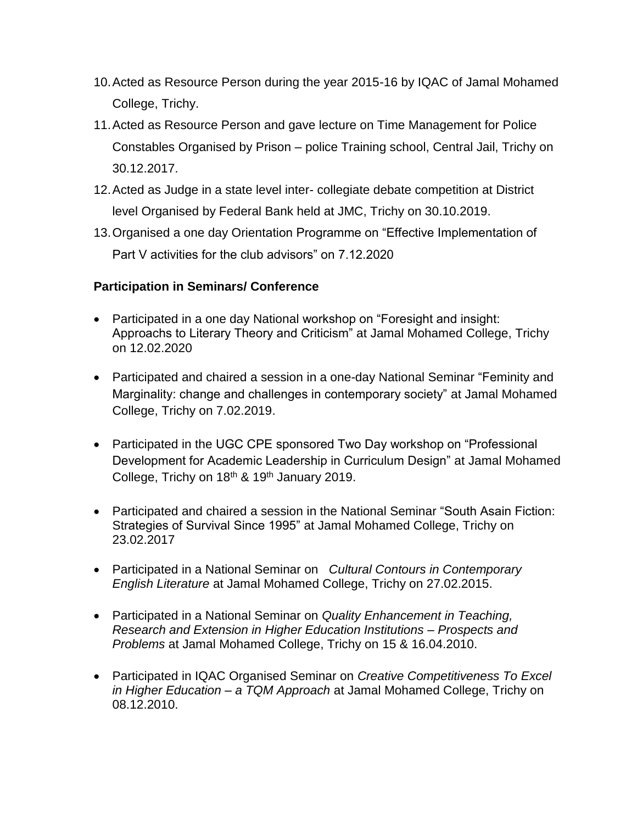- 10.Acted as Resource Person during the year 2015-16 by IQAC of Jamal Mohamed College, Trichy.
- 11.Acted as Resource Person and gave lecture on Time Management for Police Constables Organised by Prison – police Training school, Central Jail, Trichy on 30.12.2017.
- 12.Acted as Judge in a state level inter- collegiate debate competition at District level Organised by Federal Bank held at JMC, Trichy on 30.10.2019.
- 13.Organised a one day Orientation Programme on "Effective Implementation of Part V activities for the club advisors" on 7.12.2020

## **Participation in Seminars/ Conference**

- Participated in a one day National workshop on "Foresight and insight: Approachs to Literary Theory and Criticism" at Jamal Mohamed College, Trichy on 12.02.2020
- Participated and chaired a session in a one-day National Seminar "Feminity and Marginality: change and challenges in contemporary society" at Jamal Mohamed College, Trichy on 7.02.2019.
- Participated in the UGC CPE sponsored Two Day workshop on "Professional Development for Academic Leadership in Curriculum Design" at Jamal Mohamed College, Trichy on 18<sup>th</sup> & 19<sup>th</sup> January 2019.
- Participated and chaired a session in the National Seminar "South Asain Fiction: Strategies of Survival Since 1995" at Jamal Mohamed College, Trichy on 23.02.2017
- Participated in a National Seminar on *Cultural Contours in Contemporary English Literature* at Jamal Mohamed College, Trichy on 27.02.2015.
- Participated in a National Seminar on *Quality Enhancement in Teaching, Research and Extension in Higher Education Institutions – Prospects and Problems* at Jamal Mohamed College, Trichy on 15 & 16.04.2010.
- Participated in IQAC Organised Seminar on *Creative Competitiveness To Excel in Higher Education – a TQM Approach* at Jamal Mohamed College, Trichy on 08.12.2010.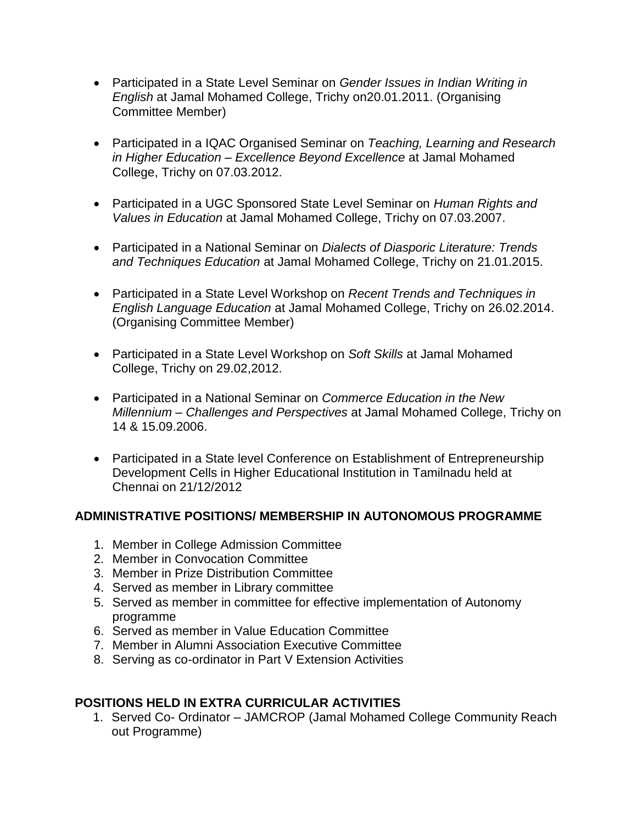- Participated in a State Level Seminar on *Gender Issues in Indian Writing in English* at Jamal Mohamed College, Trichy on20.01.2011. (Organising Committee Member)
- Participated in a IQAC Organised Seminar on *Teaching, Learning and Research in Higher Education – Excellence Beyond Excellence* at Jamal Mohamed College, Trichy on 07.03.2012.
- Participated in a UGC Sponsored State Level Seminar on *Human Rights and Values in Education* at Jamal Mohamed College, Trichy on 07.03.2007.
- Participated in a National Seminar on *Dialects of Diasporic Literature: Trends and Techniques Education* at Jamal Mohamed College, Trichy on 21.01.2015.
- Participated in a State Level Workshop on *Recent Trends and Techniques in English Language Education* at Jamal Mohamed College, Trichy on 26.02.2014. (Organising Committee Member)
- Participated in a State Level Workshop on *Soft Skills* at Jamal Mohamed College, Trichy on 29.02,2012.
- Participated in a National Seminar on *Commerce Education in the New Millennium – Challenges and Perspectives* at Jamal Mohamed College, Trichy on 14 & 15.09.2006.
- Participated in a State level Conference on Establishment of Entrepreneurship Development Cells in Higher Educational Institution in Tamilnadu held at Chennai on 21/12/2012

## **ADMINISTRATIVE POSITIONS/ MEMBERSHIP IN AUTONOMOUS PROGRAMME**

- 1. Member in College Admission Committee
- 2. Member in Convocation Committee
- 3. Member in Prize Distribution Committee
- 4. Served as member in Library committee
- 5. Served as member in committee for effective implementation of Autonomy programme
- 6. Served as member in Value Education Committee
- 7. Member in Alumni Association Executive Committee
- 8. Serving as co-ordinator in Part V Extension Activities

## **POSITIONS HELD IN EXTRA CURRICULAR ACTIVITIES**

1. Served Co- Ordinator – JAMCROP (Jamal Mohamed College Community Reach out Programme)